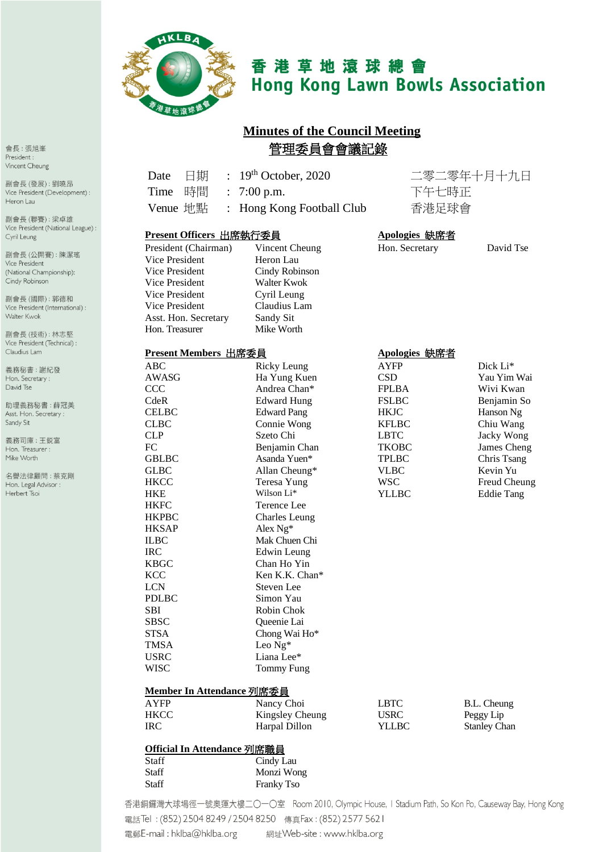

# 香港草地滾球總會 **Hong Kong Lawn Bowls Association**

## **Minutes of the Council Meeting** 管理委員會會議記錄

| 日期<br>Date                         | $\therefore$ 19 <sup>th</sup> October, 2020 |                | 二零二零年十月十九日          |
|------------------------------------|---------------------------------------------|----------------|---------------------|
| 時間<br>Time<br>$\ddot{\phantom{a}}$ | 7:00 p.m.                                   | 下午七時正<br>香港足球會 |                     |
| Venue 地點<br>$\ddot{\cdot}$         | Hong Kong Football Club                     |                |                     |
| Present Officers 出席執行委員            |                                             | Apologies 缺席者  |                     |
| President (Chairman)               | Vincent Cheung                              | Hon. Secretary | David Tse           |
| Vice President                     | Heron Lau                                   |                |                     |
| Vice President                     | Cindy Robinson                              |                |                     |
| Vice President                     | Walter Kwok                                 |                |                     |
| Vice President                     | Cyril Leung                                 |                |                     |
| Vice President                     | Claudius Lam                                |                |                     |
| Asst. Hon. Secretary               | Sandy Sit                                   |                |                     |
| Hon. Treasurer                     | Mike Worth                                  |                |                     |
| Present Members 出席委員               |                                             | Apologies 缺席者  |                     |
| <b>ABC</b>                         | <b>Ricky Leung</b>                          | <b>AYFP</b>    | Dick Li*            |
| <b>AWASG</b>                       | Ha Yung Kuen                                | <b>CSD</b>     | Yau Yim Wai         |
| <b>CCC</b>                         | Andrea Chan*                                | <b>FPLBA</b>   | Wivi Kwan           |
| CdeR                               | <b>Edward Hung</b>                          | <b>FSLBC</b>   | Benjamin So         |
| <b>CELBC</b>                       | <b>Edward Pang</b>                          | <b>HKJC</b>    | Hanson Ng           |
| <b>CLBC</b>                        | Connie Wong                                 | <b>KFLBC</b>   | Chiu Wang           |
| <b>CLP</b>                         | Szeto Chi                                   | <b>LBTC</b>    | Jacky Wong          |
| FC                                 | Benjamin Chan                               | <b>TKOBC</b>   | James Cheng         |
| <b>GBLBC</b>                       | Asanda Yuen*                                | <b>TPLBC</b>   | Chris Tsang         |
| <b>GLBC</b>                        | Allan Cheung*                               | <b>VLBC</b>    | Kevin Yu            |
| <b>HKCC</b>                        | Teresa Yung                                 | <b>WSC</b>     | Freud Cheung        |
| <b>HKE</b>                         | Wilson Li*                                  | <b>YLLBC</b>   | <b>Eddie Tang</b>   |
| <b>HKFC</b>                        | Terence Lee                                 |                |                     |
| <b>HKPBC</b>                       | <b>Charles Leung</b>                        |                |                     |
| <b>HKSAP</b>                       | Alex Ng*                                    |                |                     |
| <b>ILBC</b>                        | Mak Chuen Chi                               |                |                     |
| <b>IRC</b>                         | Edwin Leung                                 |                |                     |
| <b>KBGC</b>                        | Chan Ho Yin                                 |                |                     |
| <b>KCC</b>                         | Ken K.K. Chan*                              |                |                     |
| <b>LCN</b>                         | Steven Lee                                  |                |                     |
| <b>PDLBC</b>                       | Simon Yau                                   |                |                     |
| <b>SBI</b>                         | Robin Chok                                  |                |                     |
| <b>SBSC</b>                        | Queenie Lai                                 |                |                     |
| <b>STSA</b>                        | Chong Wai Ho*                               |                |                     |
| <b>TMSA</b>                        | Leo Ng*                                     |                |                     |
| <b>USRC</b>                        | Liana Lee*                                  |                |                     |
| <b>WISC</b>                        | <b>Tommy Fung</b>                           |                |                     |
| Member In Attendance 列席委員          |                                             |                |                     |
| <b>AYFP</b>                        | Nancy Choi                                  | <b>LBTC</b>    | B.L. Cheung         |
| <b>HKCC</b>                        | Kingsley Cheung                             | <b>USRC</b>    | Peggy Lip           |
| <b>IRC</b>                         | Harpal Dillon                               | <b>YLLBC</b>   | <b>Stanley Chan</b> |
| <b>Official In Attendance 列席職員</b> |                                             |                |                     |
| <b>Staff</b>                       | Cindy Lau                                   |                |                     |
| <b>Staff</b>                       | Monzi Wong                                  |                |                     |
| <b>Staff</b>                       | Franky Tso                                  |                |                     |
|                                    |                                             |                |                     |

香港銅鑼灣大球場徑一號奧運大樓二〇一〇室 Room 2010, Olympic House, I Stadium Path, So Kon Po, Causeway Bay, Hong Kong 電話Tel: (852) 2504 8249 / 2504 8250 傳真Fax: (852) 2577 5621 

會長:張旭峯 President : Vincent Cheung

副會長(發展):劉曉昂 Vice President (Development) : Heron Lau

副會長(聯賽):梁卓雄 Vice President (National League) : Cyril Leung

副會長(公開賽):陳潔瑤 Vice President (National Championship): Cindy Robinson

副會長(國際): 郭德和 Vice President (International) : Walter Kwok

副會長(技術):林志堅 Vice President (Technical) : Claudius Lam

義務秘書:謝紀發 Hon. Secretary: David Tse

助理義務秘書:薛冠美 Asst. Hon. Secretary : Sandy Sit

義務司庫:王鋭富 Hon. Treasurer : Mike Worth

名譽法律顧問:蔡克剛 Hon. Legal Advisor : Herbert Tsoi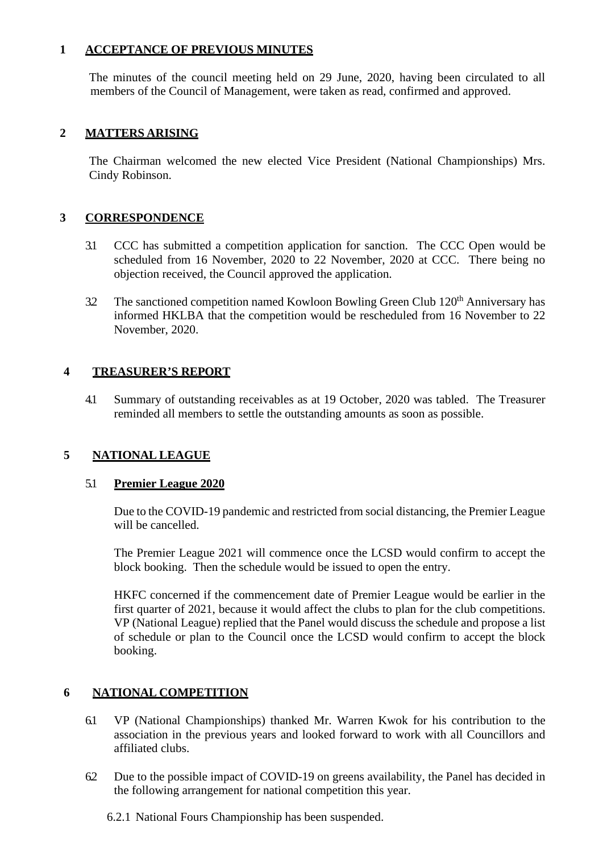#### **1 ACCEPTANCE OF PREVIOUS MINUTES**

The minutes of the council meeting held on 29 June, 2020, having been circulated to all members of the Council of Management, were taken as read, confirmed and approved.

#### **2 MATTERS ARISING**

The Chairman welcomed the new elected Vice President (National Championships) Mrs. Cindy Robinson.

#### **3 CORRESPONDENCE**

- 3.1 CCC has submitted a competition application for sanction. The CCC Open would be scheduled from 16 November, 2020 to 22 November, 2020 at CCC. There being no objection received, the Council approved the application.
- 3.2 The sanctioned competition named Kowloon Bowling Green Club 120<sup>th</sup> Anniversary has informed HKLBA that the competition would be rescheduled from 16 November to 22 November, 2020.

#### **4 TREASURER'S REPORT**

4.1 Summary of outstanding receivables as at 19 October, 2020 was tabled. The Treasurer reminded all members to settle the outstanding amounts as soon as possible.

### **5 NATIONAL LEAGUE**

#### 5.1 **Premier League 2020**

Due to the COVID-19 pandemic and restricted from social distancing, the Premier League will be cancelled.

The Premier League 2021 will commence once the LCSD would confirm to accept the block booking. Then the schedule would be issued to open the entry.

HKFC concerned if the commencement date of Premier League would be earlier in the first quarter of 2021, because it would affect the clubs to plan for the club competitions. VP (National League) replied that the Panel would discuss the schedule and propose a list of schedule or plan to the Council once the LCSD would confirm to accept the block booking.

#### **6 NATIONAL COMPETITION**

- 6.1 VP (National Championships) thanked Mr. Warren Kwok for his contribution to the association in the previous years and looked forward to work with all Councillors and affiliated clubs.
- 6.2 Due to the possible impact of COVID-19 on greens availability, the Panel has decided in the following arrangement for national competition this year.

6.2.1 National Fours Championship has been suspended.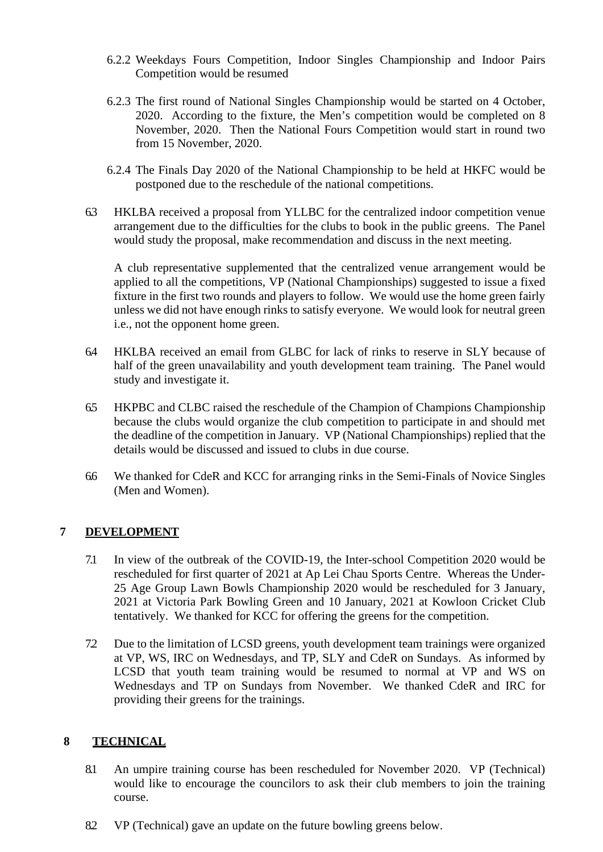- 6.2.2 Weekdays Fours Competition, Indoor Singles Championship and Indoor Pairs Competition would be resumed
- 6.2.3 The first round of National Singles Championship would be started on 4 October, 2020. According to the fixture, the Men's competition would be completed on 8 November, 2020. Then the National Fours Competition would start in round two from 15 November, 2020.
- 6.2.4 The Finals Day 2020 of the National Championship to be held at HKFC would be postponed due to the reschedule of the national competitions.
- 6.3 HKLBA received a proposal from YLLBC for the centralized indoor competition venue arrangement due to the difficulties for the clubs to book in the public greens. The Panel would study the proposal, make recommendation and discuss in the next meeting.

A club representative supplemented that the centralized venue arrangement would be applied to all the competitions, VP (National Championships) suggested to issue a fixed fixture in the first two rounds and players to follow. We would use the home green fairly unless we did not have enough rinks to satisfy everyone. We would look for neutral green i.e., not the opponent home green.

- 6.4 HKLBA received an email from GLBC for lack of rinks to reserve in SLY because of half of the green unavailability and youth development team training. The Panel would study and investigate it.
- 6.5 HKPBC and CLBC raised the reschedule of the Champion of Champions Championship because the clubs would organize the club competition to participate in and should met the deadline of the competition in January. VP (National Championships) replied that the details would be discussed and issued to clubs in due course.
- 6.6 We thanked for CdeR and KCC for arranging rinks in the Semi-Finals of Novice Singles (Men and Women).

#### **7 DEVELOPMENT**

- 7.1 In view of the outbreak of the COVID-19, the Inter-school Competition 2020 would be rescheduled for first quarter of 2021 at Ap Lei Chau Sports Centre. Whereas the Under-25 Age Group Lawn Bowls Championship 2020 would be rescheduled for 3 January, 2021 at Victoria Park Bowling Green and 10 January, 2021 at Kowloon Cricket Club tentatively. We thanked for KCC for offering the greens for the competition.
- 7.2 Due to the limitation of LCSD greens, youth development team trainings were organized at VP, WS, IRC on Wednesdays, and TP, SLY and CdeR on Sundays. As informed by LCSD that youth team training would be resumed to normal at VP and WS on Wednesdays and TP on Sundays from November. We thanked CdeR and IRC for providing their greens for the trainings.

#### **8 TECHNICAL**

- 8.1 An umpire training course has been rescheduled for November 2020. VP (Technical) would like to encourage the councilors to ask their club members to join the training course.
- 8.2 VP (Technical) gave an update on the future bowling greens below.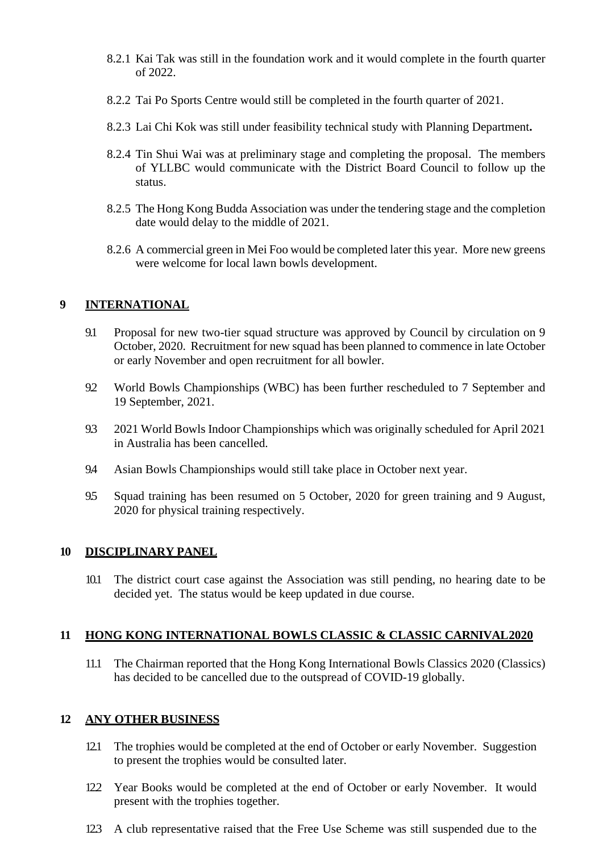- 8.2.1 Kai Tak was still in the foundation work and it would complete in the fourth quarter of 2022.
- 8.2.2 Tai Po Sports Centre would still be completed in the fourth quarter of 2021.
- 8.2.3 Lai Chi Kok was still under feasibility technical study with Planning Department**.**
- 8.2.4 Tin Shui Wai was at preliminary stage and completing the proposal. The members of YLLBC would communicate with the District Board Council to follow up the status.
- 8.2.5 The Hong Kong Budda Association was under the tendering stage and the completion date would delay to the middle of 2021.
- 8.2.6 A commercial green in Mei Foo would be completed later this year. More new greens were welcome for local lawn bowls development.

#### **9 INTERNATIONAL**

- 9.1 Proposal for new two-tier squad structure was approved by Council by circulation on 9 October, 2020. Recruitment for new squad has been planned to commence in late October or early November and open recruitment for all bowler.
- 9.2 World Bowls Championships (WBC) has been further rescheduled to 7 September and 19 September, 2021.
- 9.3 2021 World Bowls Indoor Championships which was originally scheduled for April 2021 in Australia has been cancelled.
- 9.4 Asian Bowls Championships would still take place in October next year.
- 9.5 Squad training has been resumed on 5 October, 2020 for green training and 9 August, 2020 for physical training respectively.

#### **10 DISCIPLINARY PANEL**

10.1 The district court case against the Association was still pending, no hearing date to be decided yet. The status would be keep updated in due course.

#### **11 HONG KONG INTERNATIONAL BOWLS CLASSIC & CLASSIC CARNIVAL2020**

11.1 The Chairman reported that the Hong Kong International Bowls Classics 2020 (Classics) has decided to be cancelled due to the outspread of COVID-19 globally.

#### **12 ANY OTHER BUSINESS**

- 12.1 The trophies would be completed at the end of October or early November. Suggestion to present the trophies would be consulted later.
- 12.2 Year Books would be completed at the end of October or early November. It would present with the trophies together.
- 12.3 A club representative raised that the Free Use Scheme was still suspended due to the